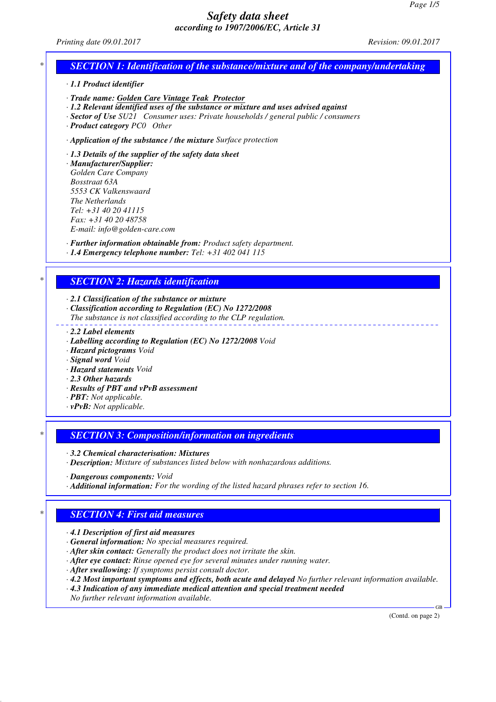*Printing date 09.01.2017 Revision: 09.01.2017*

## *\* SECTION 1: Identification of the substance/mixture and of the company/undertaking*

*· 1.1 Product identifier*

*· Trade name: Golden Care Vintage Teak Protector*

*· 1.2 Relevant identified uses of the substance or mixture and uses advised against*

*· Sector of Use SU21 Consumer uses: Private households / general public / consumers*

*· Product category PC0 Other*

*· Application of the substance / the mixture Surface protection*

*· 1.3 Details of the supplier of the safety data sheet*

*· Manufacturer/Supplier: Golden Care Company Bosstraat 63A 5553 CK Valkenswaard The Netherlands Tel: +31 40 20 41115 Fax: +31 40 20 48758 E-mail: info@golden-care.com*

*· Further information obtainable from: Product safety department. · 1.4 Emergency telephone number: Tel: +31 402 041 115*

### *\* SECTION 2: Hazards identification*

*· 2.1 Classification of the substance or mixture*

*· Classification according to Regulation (EC) No 1272/2008*

*The substance is not classified according to the CLP regulation.*

- *· 2.2 Label elements*
- *· Labelling according to Regulation (EC) No 1272/2008 Void*
- *· Hazard pictograms Void*
- *· Signal word Void*

*· Hazard statements Void*

- *· 2.3 Other hazards*
- *· Results of PBT and vPvB assessment*
- *· PBT: Not applicable.*
- *· vPvB: Not applicable.*

*\* SECTION 3: Composition/information on ingredients*

*· 3.2 Chemical characterisation: Mixtures*

*· Description: Mixture of substances listed below with nonhazardous additions.*

*· Dangerous components: Void*

*· Additional information: For the wording of the listed hazard phrases refer to section 16.*

## *\* SECTION 4: First aid measures*

*· 4.1 Description of first aid measures*

*· General information: No special measures required.*

*· After skin contact: Generally the product does not irritate the skin.*

*· After eye contact: Rinse opened eye for several minutes under running water.*

*· After swallowing: If symptoms persist consult doctor.*

*· 4.2 Most important symptoms and effects, both acute and delayed No further relevant information available.*

*· 4.3 Indication of any immediate medical attention and special treatment needed*

*No further relevant information available.*

(Contd. on page 2)

GB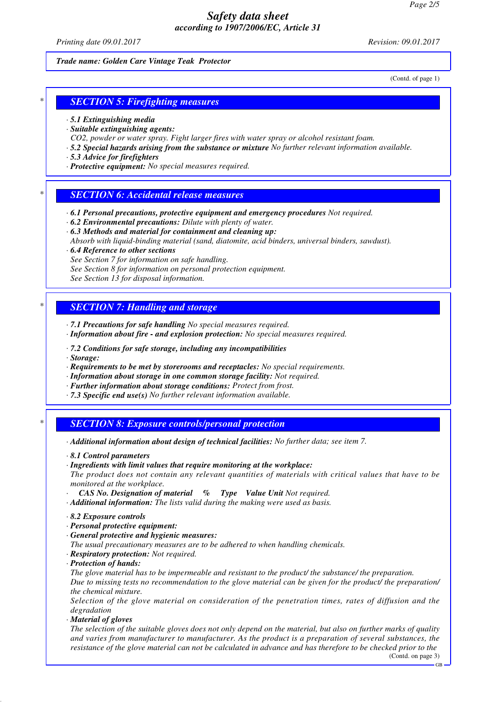*Printing date 09.01.2017 Revision: 09.01.2017*

#### *Trade name: Golden Care Vintage Teak Protector*

(Contd. of page 1)

# *\* SECTION 5: Firefighting measures*

- *· 5.1 Extinguishing media*
- *· Suitable extinguishing agents:*
- *CO2, powder or water spray. Fight larger fires with water spray or alcohol resistant foam.*
- *· 5.2 Special hazards arising from the substance or mixture No further relevant information available.*
- *· 5.3 Advice for firefighters*
- *· Protective equipment: No special measures required.*

#### *\* SECTION 6: Accidental release measures*

- *· 6.1 Personal precautions, protective equipment and emergency procedures Not required.*
- *· 6.2 Environmental precautions: Dilute with plenty of water.*
- *· 6.3 Methods and material for containment and cleaning up:*
- *Absorb with liquid-binding material (sand, diatomite, acid binders, universal binders, sawdust).*
- *· 6.4 Reference to other sections See Section 7 for information on safe handling. See Section 8 for information on personal protection equipment.*
- 
- *See Section 13 for disposal information.*

#### *\* SECTION 7: Handling and storage*

- *· 7.1 Precautions for safe handling No special measures required.*
- *· Information about fire and explosion protection: No special measures required.*
- *· 7.2 Conditions for safe storage, including any incompatibilities*
- *· Storage:*
- *· Requirements to be met by storerooms and receptacles: No special requirements.*
- *· Information about storage in one common storage facility: Not required.*
- *· Further information about storage conditions: Protect from frost.*
- *· 7.3 Specific end use(s) No further relevant information available.*

#### *\* SECTION 8: Exposure controls/personal protection*

- *· Additional information about design of technical facilities: No further data; see item 7.*
- *· 8.1 Control parameters*
- *· Ingredients with limit values that require monitoring at the workplace:*
- *The product does not contain any relevant quantities of materials with critical values that have to be monitored at the workplace.*
- *· CAS No. Designation of material % Type Value Unit Not required.*
- *· Additional information: The lists valid during the making were used as basis.*
- *· 8.2 Exposure controls*
- *· Personal protective equipment:*
- *· General protective and hygienic measures:*
- *The usual precautionary measures are to be adhered to when handling chemicals.*
- *· Respiratory protection: Not required.*
- *· Protection of hands:*

*The glove material has to be impermeable and resistant to the product/ the substance/ the preparation. Due to missing tests no recommendation to the glove material can be given for the product/ the preparation/ the chemical mixture.*

*Selection of the glove material on consideration of the penetration times, rates of diffusion and the degradation*

*· Material of gloves*

*The selection of the suitable gloves does not only depend on the material, but also on further marks of quality and varies from manufacturer to manufacturer. As the product is a preparation of several substances, the resistance of the glove material can not be calculated in advance and has therefore to be checked prior to the*

GB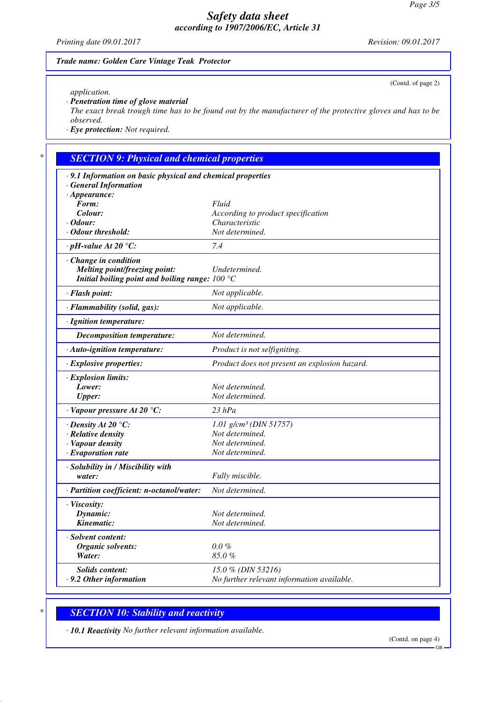*Printing date 09.01.2017 Revision: 09.01.2017*

(Contd. of page 2)

#### *Trade name: Golden Care Vintage Teak Protector*

*application.*

*· Penetration time of glove material*

*The exact break trough time has to be found out by the manufacturer of the protective gloves and has to be observed.*

*· Eye protection: Not required.*

# *\* SECTION 9: Physical and chemical properties*

| · 9.1 Information on basic physical and chemical properties                                                        |                                               |
|--------------------------------------------------------------------------------------------------------------------|-----------------------------------------------|
| <b>General Information</b>                                                                                         |                                               |
| $\cdot$ Appearance:                                                                                                |                                               |
| Form:                                                                                                              | Fluid                                         |
| Colour:                                                                                                            | According to product specification            |
| $\cdot$ Odour:<br>Odour threshold:                                                                                 | Characteristic<br>Not determined.             |
|                                                                                                                    |                                               |
| $\cdot$ pH-value At 20 °C:                                                                                         | 7.4                                           |
| · Change in condition<br><b>Melting point/freezing point:</b><br>Initial boiling point and boiling range: $100 °C$ | Undetermined.                                 |
| · Flash point:                                                                                                     | Not applicable.                               |
| · Flammability (solid, gas):                                                                                       | Not applicable.                               |
| · Ignition temperature:                                                                                            |                                               |
| <b>Decomposition temperature:</b>                                                                                  | Not determined.                               |
| · Auto-ignition temperature:                                                                                       | Product is not selfigniting.                  |
| · Explosive properties:                                                                                            | Product does not present an explosion hazard. |
| · Explosion limits:                                                                                                |                                               |
| Lower:                                                                                                             | Not determined.                               |
| <b>Upper:</b>                                                                                                      | Not determined.                               |
| $\cdot$ Vapour pressure At 20 °C:                                                                                  | $23$ hPa                                      |
| $\cdot$ Density At 20 °C:                                                                                          | $1.01$ g/cm <sup>3</sup> (DIN 51757)          |
| · Relative density                                                                                                 | Not determined.                               |
| · Vapour density                                                                                                   | Not determined.                               |
| $\cdot$ Evaporation rate                                                                                           | Not determined.                               |
| · Solubility in / Miscibility with                                                                                 |                                               |
| water:                                                                                                             | Fully miscible.                               |
| · Partition coefficient: n-octanol/water:                                                                          | Not determined.                               |
| · Viscosity:                                                                                                       |                                               |
| Dynamic:                                                                                                           | Not determined.                               |
| Kinematic:                                                                                                         | Not determined.                               |
| · Solvent content:                                                                                                 |                                               |
| Organic solvents:                                                                                                  | $0.0\%$                                       |
| Water:                                                                                                             | 85.0%                                         |
| <b>Solids content:</b>                                                                                             | 15.0 % (DIN 53216)                            |
| $\cdot$ 9.2 Other information                                                                                      | No further relevant information available.    |
|                                                                                                                    |                                               |

# *\* SECTION 10: Stability and reactivity*

*· 10.1 Reactivity No further relevant information available.*

GB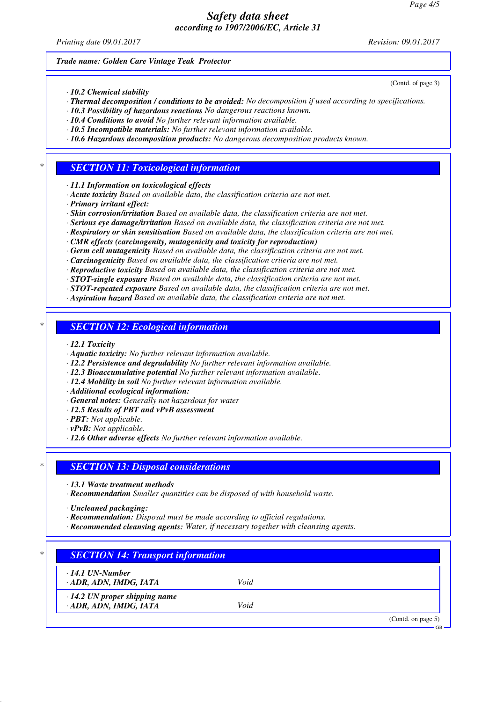*Printing date 09.01.2017 Revision: 09.01.2017*

(Contd. of page 3)

*Trade name: Golden Care Vintage Teak Protector*

*· 10.2 Chemical stability*

- *· Thermal decomposition / conditions to be avoided: No decomposition if used according to specifications.*
- *· 10.3 Possibility of hazardous reactions No dangerous reactions known.*
- *· 10.4 Conditions to avoid No further relevant information available.*
- *· 10.5 Incompatible materials: No further relevant information available.*
- *· 10.6 Hazardous decomposition products: No dangerous decomposition products known.*

#### *\* SECTION 11: Toxicological information*

*· 11.1 Information on toxicological effects*

- *· Acute toxicity Based on available data, the classification criteria are not met.*
- *· Primary irritant effect:*
- *· Skin corrosion/irritation Based on available data, the classification criteria are not met.*
- *· Serious eye damage/irritation Based on available data, the classification criteria are not met.*
- *· Respiratory or skin sensitisation Based on available data, the classification criteria are not met.*
- *· CMR effects (carcinogenity, mutagenicity and toxicity for reproduction)*
- *· Germ cell mutagenicity Based on available data, the classification criteria are not met.*
- *· Carcinogenicity Based on available data, the classification criteria are not met.*
- *· Reproductive toxicity Based on available data, the classification criteria are not met.*

*· STOT-single exposure Based on available data, the classification criteria are not met.*

- *· STOT-repeated exposure Based on available data, the classification criteria are not met.*
- *· Aspiration hazard Based on available data, the classification criteria are not met.*

# *\* SECTION 12: Ecological information*

*· 12.1 Toxicity*

- *· Aquatic toxicity: No further relevant information available.*
- *· 12.2 Persistence and degradability No further relevant information available.*
- *· 12.3 Bioaccumulative potential No further relevant information available.*
- *· 12.4 Mobility in soil No further relevant information available.*
- *· Additional ecological information:*
- *· General notes: Generally not hazardous for water*
- *· 12.5 Results of PBT and vPvB assessment*
- *· PBT: Not applicable.*
- *· vPvB: Not applicable.*
- *· 12.6 Other adverse effects No further relevant information available.*

#### *\* SECTION 13: Disposal considerations*

- *· 13.1 Waste treatment methods*
- *· Recommendation Smaller quantities can be disposed of with household waste.*
- *· Uncleaned packaging:*
- *· Recommendation: Disposal must be made according to official regulations.*
- *· Recommended cleansing agents: Water, if necessary together with cleansing agents.*

#### *\* SECTION 14: Transport information*

*· 14.1 UN-Number*

*· ADR, ADN, IMDG, IATA Void*

*· 14.2 UN proper shipping name*

*· ADR, ADN, IMDG, IATA Void*

(Contd. on page 5)

GB